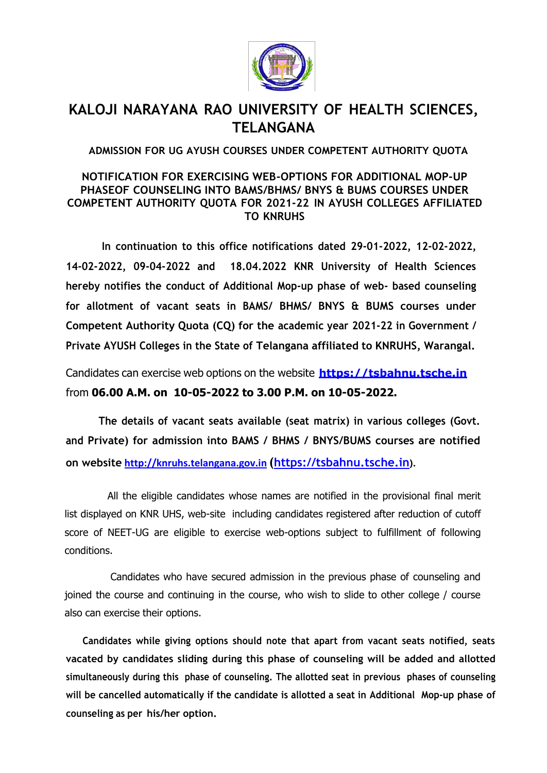

## **KALOJI NARAYANA RAO UNIVERSITY OF HEALTH SCIENCES, TELANGANA**

**ADMISSION FOR UG AYUSH COURSES UNDER COMPETENT AUTHORITY QUOTA**

## **NOTIFICATION FOR EXERCISING WEB-OPTIONS FOR ADDITIONAL MOP-UP PHASEOF COUNSELING INTO BAMS/BHMS/ BNYS & BUMS COURSES UNDER COMPETENT AUTHORITY QUOTA FOR 2021-22 IN AYUSH COLLEGES AFFILIATED TO KNRUHS**

**In continuation to this office notifications dated 29-01-2022, 12-02-2022, 14-02-2022, 09-04-2022 and 18.04.2022 KNR University of Health Sciences hereby notifies the conduct of Additional Mop-up phase of web- based counseling for allotment of vacant seats in BAMS/ BHMS/ BNYS & BUMS courses under Competent Authority Quota (CQ) for the academic year 2021-22 in Government / Private AYUSH Colleges in the State of Telangana affiliated to KNRUHS, Warangal.**

Candidates can exercise web options on the website **[https://tsbahnu.tsche.in](https://tsbahnu.tsche.in/)** from **06.00 A.M. on 10-05-2022 to 3.00 P.M. on 10-05-2022.**

**The details of vacant seats available (seat matrix) in various colleges (Govt. and Private) for admission into BAMS / BHMS / BNYS/BUMS courses are notified on website [http://knruhs.telangana.gov.in](http://knruhs.telangana.gov.in/) ([https://tsbahnu.tsche.in](https://tsbahnu.tsche.in/)).**

All the eligible candidates whose names are notified in the provisional final merit list displayed on KNR UHS, web-site including candidates registered after reduction of cutoff score of NEET-UG are eligible to exercise web-options subject to fulfillment of following conditions.

Candidates who have secured admission in the previous phase of counseling and joined the course and continuing in the course, who wish to slide to other college / course also can exercise their options.

**Candidates while giving options should note that apart from vacant seats notified, seats vacated by candidates sliding during this phase of counseling will be added and allotted simultaneously during this phase of counseling. The allotted seat in previous phases of counseling will be cancelled automatically if the candidate is allotted a seat in Additional Mop-up phase of counseling as per his/her option.**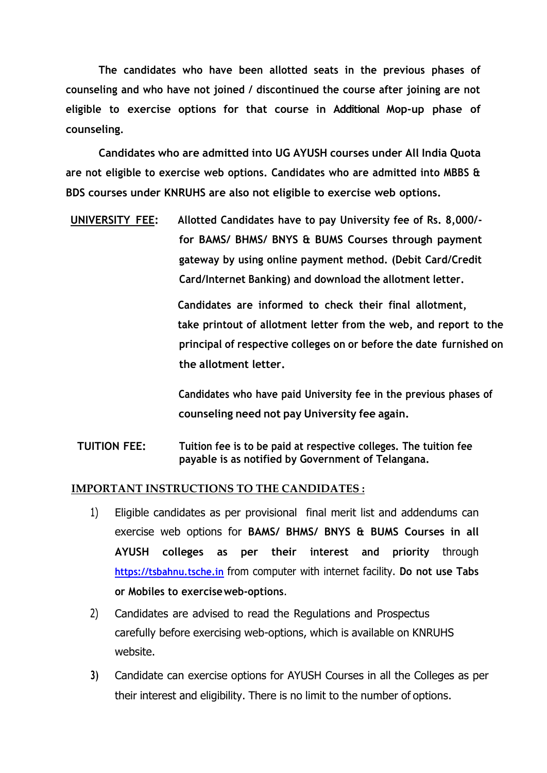**The candidates who have been allotted seats in the previous phases of counseling and who have not joined / discontinued the course after joining are not eligible to exercise options for that course in Additional Mop-up phase of counseling.**

**Candidates who are admitted into UG AYUSH courses under All India Quota are not eligible to exercise web options. Candidates who are admitted into MBBS & BDS courses under KNRUHS are also not eligible to exercise web options.**

**UNIVERSITY FEE: Allotted Candidates have to pay University fee of Rs. 8,000/ for BAMS/ BHMS/ BNYS & BUMS Courses through payment gateway by using online payment method. (Debit Card/Credit Card/Internet Banking) and download the allotment letter.**

> **Candidates are informed to check their final allotment, take printout of allotment letter from the web, and report to the principal of respective colleges on or before the date furnished on the allotment letter.**

**Candidates who have paid University fee in the previous phases of counseling need not pay University fee again.**

**TUITION FEE: Tuition fee is to be paid at respective colleges. The tuition fee payable is as notified by Government of Telangana.**

## **IMPORTANT INSTRUCTIONS TO THE CANDIDATES :**

- 1) Eligible candidates as per provisional final merit list and addendums can exercise web options for **BAMS/ BHMS/ BNYS & BUMS Courses in all AYUSH colleges as per their interest and priority** through **[https://tsbahnu.tsche.in](https://tsbahnu.tsche.in/)** from computer with internet facility. **Do not use Tabs or Mobiles to exerciseweb-options**.
- 2) Candidates are advised to read the Regulations and Prospectus carefully before exercising web-options, which is available on KNRUHS website.
- **3)** Candidate can exercise options for AYUSH Courses in all the Colleges as per their interest and eligibility. There is no limit to the number of options.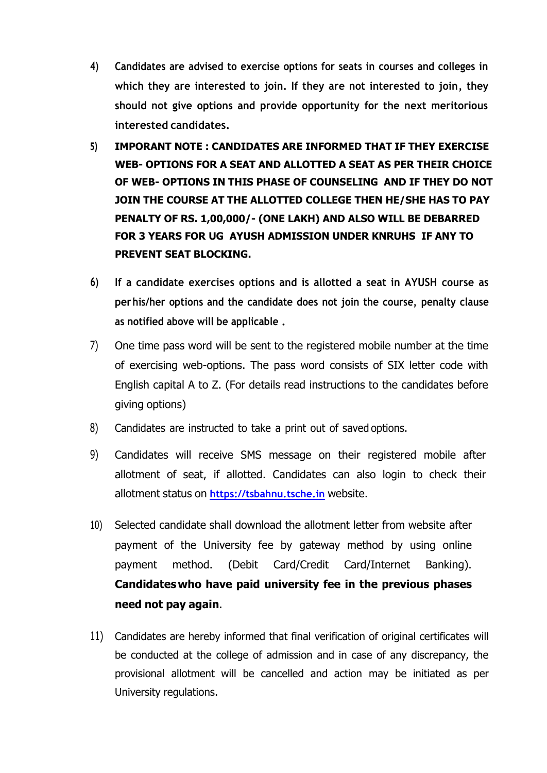- **4) Candidates are advised to exercise options for seats in courses and colleges in which they are interested to join. If they are not interested to join, they should not give options and provide opportunity for the next meritorious interested candidates.**
- **5) IMPORANT NOTE : CANDIDATES ARE INFORMED THAT IF THEY EXERCISE WEB- OPTIONS FOR A SEAT AND ALLOTTED A SEAT AS PER THEIR CHOICE OF WEB- OPTIONS IN THIS PHASE OF COUNSELING AND IF THEY DO NOT JOIN THE COURSE AT THE ALLOTTED COLLEGE THEN HE/SHE HAS TO PAY PENALTY OF RS. 1,00,000/- (ONE LAKH) AND ALSO WILL BE DEBARRED FOR 3 YEARS FOR UG AYUSH ADMISSION UNDER KNRUHS IF ANY TO PREVENT SEAT BLOCKING.**
- **6) If a candidate exercises options and is allotted a seat in AYUSH course as perhis/her options and the candidate does not join the course, penalty clause as notified above will be applicable .**
- 7) One time pass word will be sent to the registered mobile number at the time of exercising web-options. The pass word consists of SIX letter code with English capital A to Z. (For details read instructions to the candidates before giving options)
- 8) Candidates are instructed to take a print out of saved options.
- 9) Candidates will receive SMS message on their registered mobile after allotment of seat, if allotted. Candidates can also login to check their allotment status on **[https://tsbahnu.tsche.in](https://tsbahnu.tsche.in/)** website.
- 10) Selected candidate shall download the allotment letter from website after payment of the University fee by gateway method by using online payment method. (Debit Card/Credit Card/Internet Banking). **Candidateswho have paid university fee in the previous phases need not pay again**.
- 11) Candidates are hereby informed that final verification of original certificates will be conducted at the college of admission and in case of any discrepancy, the provisional allotment will be cancelled and action may be initiated as per University regulations.